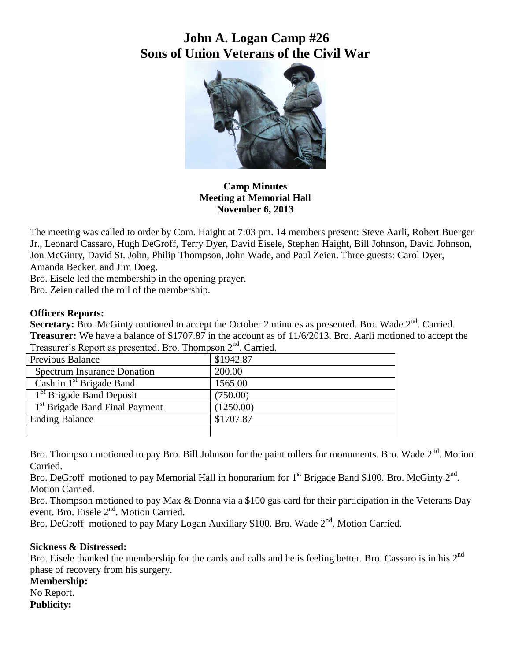# **John A. Logan Camp #26 Sons of Union Veterans of the Civil War**



**Camp Minutes Meeting at Memorial Hall November 6, 2013**

The meeting was called to order by Com. Haight at 7:03 pm. 14 members present: Steve Aarli, Robert Buerger Jr., Leonard Cassaro, Hugh DeGroff, Terry Dyer, David Eisele, Stephen Haight, Bill Johnson, David Johnson, Jon McGinty, David St. John, Philip Thompson, John Wade, and Paul Zeien. Three guests: Carol Dyer, Amanda Becker, and Jim Doeg.

Bro. Eisele led the membership in the opening prayer.

Bro. Zeien called the roll of the membership.

#### **Officers Reports:**

Secretary: Bro. McGinty motioned to accept the October 2 minutes as presented. Bro. Wade 2<sup>nd</sup>. Carried. **Treasurer:** We have a balance of \$1707.87 in the account as of 11/6/2013. Bro. Aarli motioned to accept the Treasurer's Report as presented. Bro. Thompson  $2<sup>nd</sup>$ . Carried.

| Previous Balance                           | \$1942.87 |
|--------------------------------------------|-----------|
| <b>Spectrum Insurance Donation</b>         | 200.00    |
| Cash in $1st$ Brigade Band                 | 1565.00   |
| 1 <sup>St</sup> Brigade Band Deposit       | (750.00)  |
| 1 <sup>st</sup> Brigade Band Final Payment | (1250.00) |
| <b>Ending Balance</b>                      | \$1707.87 |
|                                            |           |

Bro. Thompson motioned to pay Bro. Bill Johnson for the paint rollers for monuments. Bro. Wade 2<sup>nd</sup>. Motion Carried.

Bro. DeGroff motioned to pay Memorial Hall in honorarium for  $1<sup>st</sup>$  Brigade Band \$100. Bro. McGinty  $2<sup>nd</sup>$ . Motion Carried.

Bro. Thompson motioned to pay Max & Donna via a \$100 gas card for their participation in the Veterans Day event. Bro. Eisele 2<sup>nd</sup>. Motion Carried.

Bro. DeGroff motioned to pay Mary Logan Auxiliary \$100. Bro. Wade 2<sup>nd</sup>. Motion Carried.

#### **Sickness & Distressed:**

Bro. Eisele thanked the membership for the cards and calls and he is feeling better. Bro. Cassaro is in his 2<sup>nd</sup> phase of recovery from his surgery.

**Membership:**

No Report.

**Publicity:**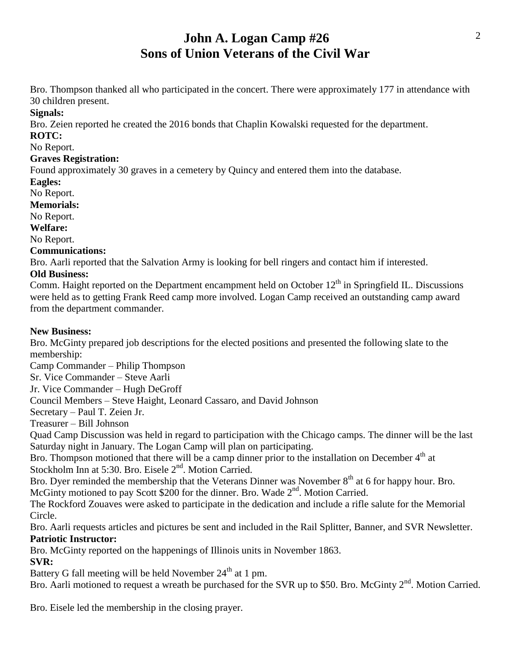# **John A. Logan Camp #26 Sons of Union Veterans of the Civil War**

Bro. Thompson thanked all who participated in the concert. There were approximately 177 in attendance with 30 children present.

**Signals:**

Bro. Zeien reported he created the 2016 bonds that Chaplin Kowalski requested for the department.

### **ROTC:**

#### No Report.

### **Graves Registration:**

Found approximately 30 graves in a cemetery by Quincy and entered them into the database.

#### **Eagles:**

No Report.

### **Memorials:**

No Report.

#### **Welfare:**

No Report.

## **Communications:**

Bro. Aarli reported that the Salvation Army is looking for bell ringers and contact him if interested.

# **Old Business:**

Comm. Haight reported on the Department encampment held on October 12<sup>th</sup> in Springfield IL. Discussions were held as to getting Frank Reed camp more involved. Logan Camp received an outstanding camp award from the department commander.

## **New Business:**

Bro. McGinty prepared job descriptions for the elected positions and presented the following slate to the membership:

Camp Commander – Philip Thompson

Sr. Vice Commander – Steve Aarli

Jr. Vice Commander – Hugh DeGroff

Council Members – Steve Haight, Leonard Cassaro, and David Johnson

Secretary – Paul T. Zeien Jr.

Treasurer – Bill Johnson

Quad Camp Discussion was held in regard to participation with the Chicago camps. The dinner will be the last Saturday night in January. The Logan Camp will plan on participating.

Bro. Thompson motioned that there will be a camp dinner prior to the installation on December 4<sup>th</sup> at Stockholm Inn at 5:30. Bro. Eisele  $2<sup>nd</sup>$ . Motion Carried.

Bro. Dyer reminded the membership that the Veterans Dinner was November 8<sup>th</sup> at 6 for happy hour. Bro. McGinty motioned to pay Scott \$200 for the dinner. Bro. Wade 2<sup>nd</sup>. Motion Carried.

The Rockford Zouaves were asked to participate in the dedication and include a rifle salute for the Memorial Circle.

Bro. Aarli requests articles and pictures be sent and included in the Rail Splitter, Banner, and SVR Newsletter. **Patriotic Instructor:**

Bro. McGinty reported on the happenings of Illinois units in November 1863.

# **SVR:**

Battery G fall meeting will be held November  $24<sup>th</sup>$  at 1 pm.

Bro. Aarli motioned to request a wreath be purchased for the SVR up to \$50. Bro. McGinty 2<sup>nd</sup>. Motion Carried.

Bro. Eisele led the membership in the closing prayer.